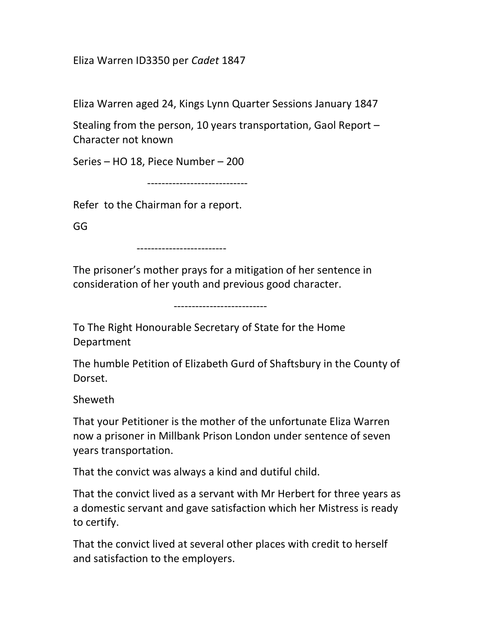Eliza Warren ID3350 per Cadet 1847

Eliza Warren aged 24, Kings Lynn Quarter Sessions January 1847

Stealing from the person, 10 years transportation, Gaol Report – Character not known

Series – HO 18, Piece Number – 200

----------------------------

Refer to the Chairman for a report.

GG

-------------------------

--------------------------

The prisoner's mother prays for a mitigation of her sentence in consideration of her youth and previous good character.

To The Right Honourable Secretary of State for the Home Department

The humble Petition of Elizabeth Gurd of Shaftsbury in the County of Dorset.

Sheweth

That your Petitioner is the mother of the unfortunate Eliza Warren now a prisoner in Millbank Prison London under sentence of seven years transportation.

That the convict was always a kind and dutiful child.

That the convict lived as a servant with Mr Herbert for three years as a domestic servant and gave satisfaction which her Mistress is ready to certify.

That the convict lived at several other places with credit to herself and satisfaction to the employers.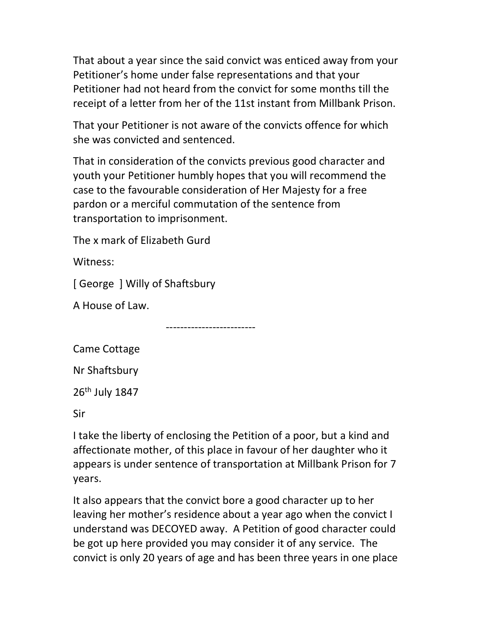That about a year since the said convict was enticed away from your Petitioner's home under false representations and that your Petitioner had not heard from the convict for some months till the receipt of a letter from her of the 11st instant from Millbank Prison.

That your Petitioner is not aware of the convicts offence for which she was convicted and sentenced.

That in consideration of the convicts previous good character and youth your Petitioner humbly hopes that you will recommend the case to the favourable consideration of Her Majesty for a free pardon or a merciful commutation of the sentence from transportation to imprisonment.

The x mark of Elizabeth Gurd

Witness:

[ George ] Willy of Shaftsbury

A House of Law.

-------------------------

Came Cottage

Nr Shaftsbury

26th July 1847

Sir

I take the liberty of enclosing the Petition of a poor, but a kind and affectionate mother, of this place in favour of her daughter who it appears is under sentence of transportation at Millbank Prison for 7 years.

It also appears that the convict bore a good character up to her leaving her mother's residence about a year ago when the convict I understand was DECOYED away. A Petition of good character could be got up here provided you may consider it of any service. The convict is only 20 years of age and has been three years in one place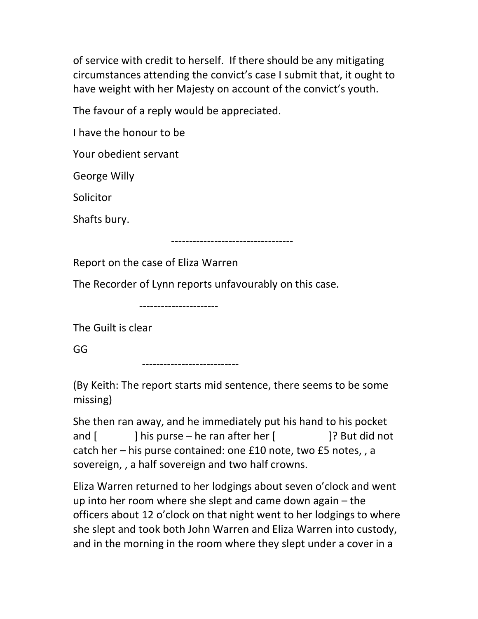of service with credit to herself. If there should be any mitigating circumstances attending the convict's case I submit that, it ought to have weight with her Majesty on account of the convict's youth.

The favour of a reply would be appreciated.

I have the honour to be

Your obedient servant

George Willy

**Solicitor** 

Shafts bury.

----------------------------------

Report on the case of Eliza Warren

The Recorder of Lynn reports unfavourably on this case.

----------------------

The Guilt is clear

GG

---------------------------

(By Keith: The report starts mid sentence, there seems to be some missing)

She then ran away, and he immediately put his hand to his pocket and [ ] his purse – he ran after her [ ]? But did not catch her – his purse contained: one £10 note, two £5 notes, , a sovereign, , a half sovereign and two half crowns.

Eliza Warren returned to her lodgings about seven o'clock and went up into her room where she slept and came down again – the officers about 12 o'clock on that night went to her lodgings to where she slept and took both John Warren and Eliza Warren into custody, and in the morning in the room where they slept under a cover in a